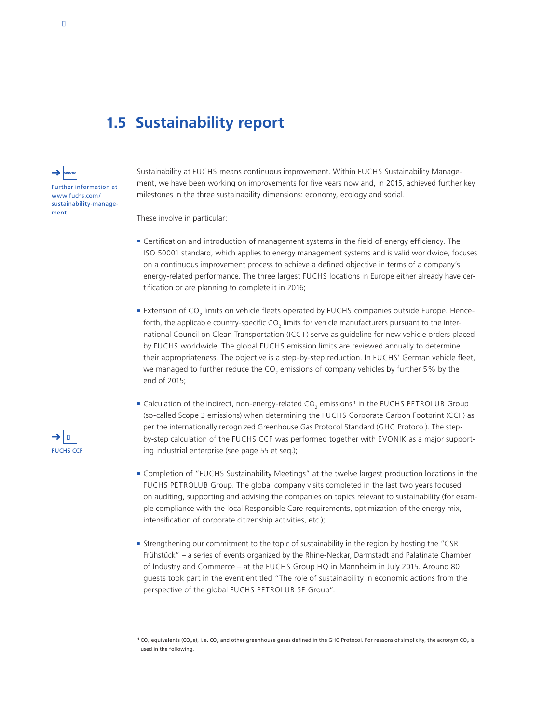## **1.5 Sustainability report**



%

Sustainability at FUCHS means continuous improvement. Within FUCHS Sustainability Management, we have been working on improvements for five years now and, in 2015, achieved further key milestones in the three sustainability dimensions: economy, ecology and social.

These involve in particular:

- Certification and introduction of management systems in the field of energy efficiency. The ISO 50001 standard, which applies to energy management systems and is valid worldwide, focuses on a continuous improvement process to achieve a defined objective in terms of a company's energy-related performance. The three largest FUCHS locations in Europe either already have certification or are planning to complete it in 2016;
- $\blacksquare$  Extension of CO<sub>2</sub> limits on vehicle fleets operated by FUCHS companies outside Europe. Henceforth, the applicable country-specific CO $_2$  limits for vehicle manufacturers pursuant to the International Council on Clean Transportation (ICCT) serve as guideline for new vehicle orders placed by FUCHS worldwide. The global FUCHS emission limits are reviewed annually to determine their appropriateness. The objective is a step-by-step reduction. In FUCHS' German vehicle fleet, we managed to further reduce the CO<sub>2</sub> emissions of company vehicles by further 5% by the end of 2015;
- $\blacksquare$  Calculation of the indirect, non-energy-related CO<sub>2</sub> emissions <sup>1</sup> in the FUCHS PETROLUB Group (so-called Scope 3 emissions) when determining the FUCHS Corporate Carbon Footprint (CCF) as per the internationally recognized Greenhouse Gas Protocol Standard (GHG Protocol). The stepby-step calculation of the FUCHS CCF was performed together with EVONIK as a major supporting industrial enterprise (see page 55 et seq.);
- ■■ Completion of "FUCHS Sustainability Meetings" at the twelve largest production locations in the FUCHS PETROLUB Group. The global company visits completed in the last two years focused on auditing, supporting and advising the companies on topics relevant to sustainability (for example compliance with the local Responsible Care requirements, optimization of the energy mix, intensification of corporate citizenship activities, etc.);
- ■■ Strengthening our commitment to the topic of sustainability in the region by hosting the "CSR Frühstück" – a series of events organized by the Rhine-Neckar, Darmstadt and Palatinate Chamber of Industry and Commerce – at the FUCHS Group HQ in Mannheim in July 2015. Around 80 guests took part in the event entitled "The role of sustainability in economic actions from the perspective of the global FUCHS PETROLUB SE Group".

<sup>1</sup>CO<sub>2</sub> equivalents (CO<sub>2</sub>e), i.e. CO<sub>2</sub> and other greenhouse gases defined in the GHG Protocol. For reasons of simplicity, the acronym CO<sub>2</sub> is used in the following.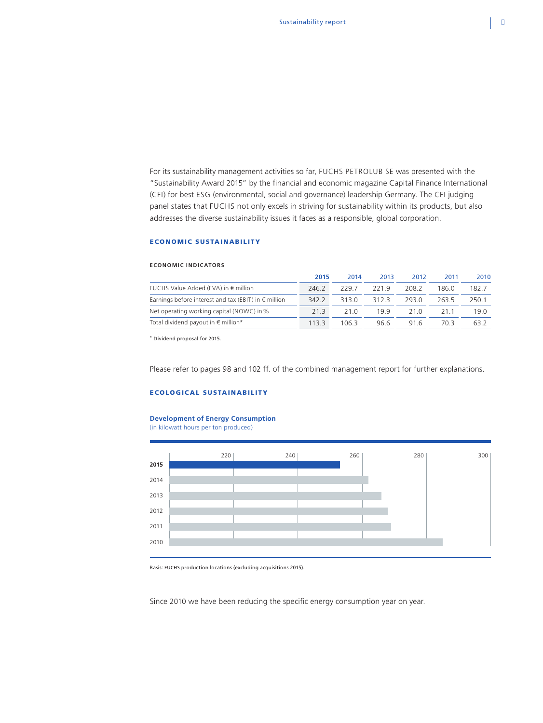For its sustainability management activities so far, FUCHS PETROLUB SE was presented with the "Sustainability Award 2015" by the financial and economic magazine Capital Finance International (CFI) for best ESG (environmental, social and governance) leadership Germany. The CFI judging panel states that FUCHS not only excels in striving for sustainability within its products, but also addresses the diverse sustainability issues it faces as a responsible, global corporation.

## ECONOMIC SUSTAINABILITY

#### **ECONOMIC INDICATORS**

|                                                               | 2015  | 2014  | 2013 | 2012  | 2011  | 2010            |
|---------------------------------------------------------------|-------|-------|------|-------|-------|-----------------|
| FUCHS Value Added (FVA) in $\epsilon$ million                 | 246.2 | 229.7 | 2219 | 208.2 | 186 በ | 182.7           |
| Earnings before interest and tax (EBIT) in $\epsilon$ million | 342.2 | 3130  | 3123 | 2930  | 263.5 | 250.1           |
| Net operating working capital (NOWC) in %                     | 21 3  | 21 O  | 199  | 21 Q  | 211   | 19 <sub>0</sub> |
| Total dividend payout in $\epsilon$ million*                  | 1133  | 106.3 | 96.6 | 916   | 70 R  | 632             |

\* Dividend proposal for 2015.

Please refer to pages 98 and 102 ff. of the combined management report for further explanations.

### ECOLOGICAL SUSTAINABILITY

## **Development of Energy Consumption**

(in kilowatt hours per ton produced)



Basis: FUCHS production locations (excluding acquisitions 2015).

Since 2010 we have been reducing the specific energy consumption year on year.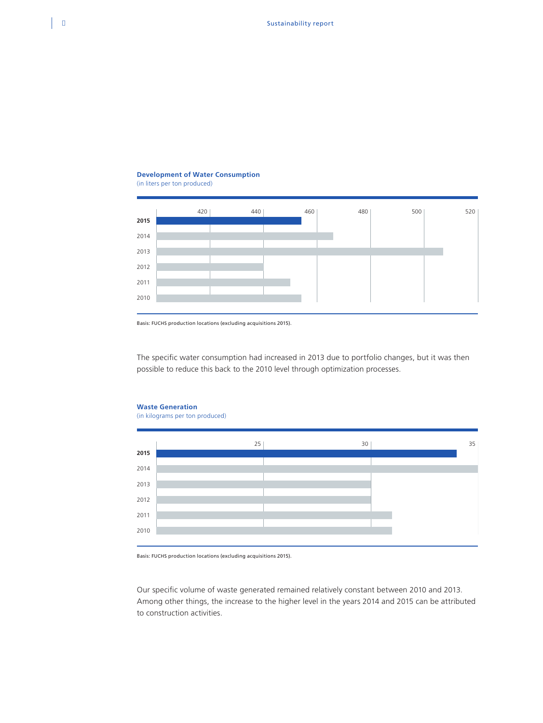## **Development of Water Consumption** (in liters per ton produced)



Basis: FUCHS production locations (excluding acquisitions 2015).

The specific water consumption had increased in 2013 due to portfolio changes, but it was then possible to reduce this back to the 2010 level through optimization processes.

# $25$  30 30 30 **2015** 2014 2013 2012 2011 2010

Basis: FUCHS production locations (excluding acquisitions 2015).

Our specific volume of waste generated remained relatively constant between 2010 and 2013. Among other things, the increase to the higher level in the years 2014 and 2015 can be attributed to construction activities.

**Waste Generation** (in kilograms per ton produced)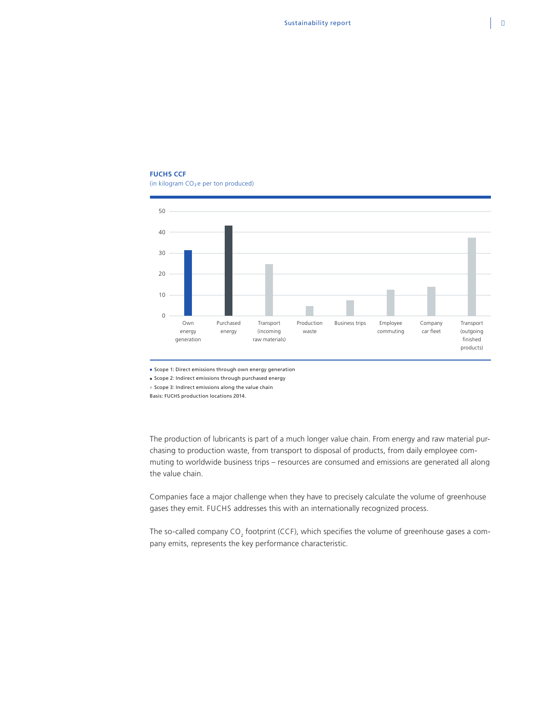## **FUCHS CCF**

(in kilogram  $CO<sub>2</sub>$ e per ton produced)



Scope 1: Direct emissions through own energy generation

Scope 2: Indirect emissions through purchased energy

Scope 3: Indirect emissions along the value chain

Basis: FUCHS production locations 2014.

The production of lubricants is part of a much longer value chain. From energy and raw material purchasing to production waste, from transport to disposal of products, from daily employee commuting to worldwide business trips – resources are consumed and emissions are generated all along the value chain.

Companies face a major challenge when they have to precisely calculate the volume of greenhouse gases they emit. FUCHS addresses this with an internationally recognized process.

The so-called company CO<sub>2</sub> footprint (CCF), which specifies the volume of greenhouse gases a company emits, represents the key performance characteristic.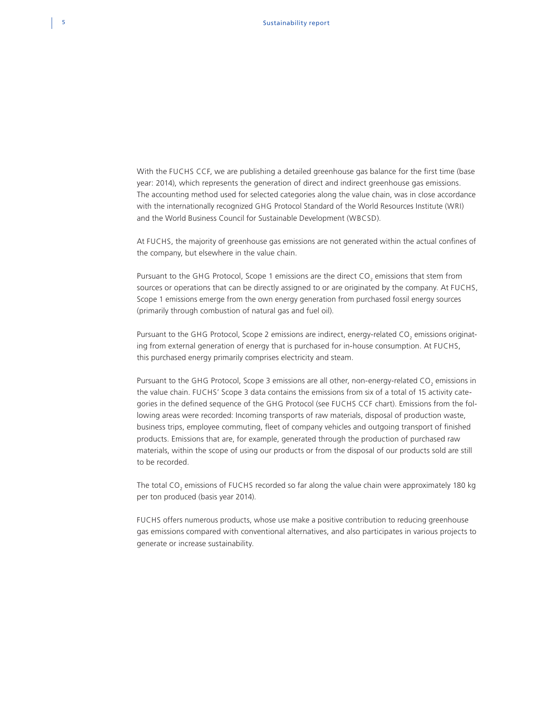With the FUCHS CCF, we are publishing a detailed greenhouse gas balance for the first time (base year: 2014), which represents the generation of direct and indirect greenhouse gas emissions. The accounting method used for selected categories along the value chain, was in close accordance with the internationally recognized GHG Protocol Standard of the World Resources Institute (WRI) and the World Business Council for Sustainable Development (WBCSD).

At FUCHS, the majority of greenhouse gas emissions are not generated within the actual confines of the company, but elsewhere in the value chain.

Pursuant to the GHG Protocol, Scope 1 emissions are the direct  $\text{CO}_2$  emissions that stem from sources or operations that can be directly assigned to or are originated by the company. At FUCHS, Scope 1 emissions emerge from the own energy generation from purchased fossil energy sources (primarily through combustion of natural gas and fuel oil).

Pursuant to the GHG Protocol, Scope 2 emissions are indirect, energy-related CO<sub>2</sub> emissions originating from external generation of energy that is purchased for in-house consumption. At FUCHS, this purchased energy primarily comprises electricity and steam.

Pursuant to the GHG Protocol, Scope 3 emissions are all other, non-energy-related CO<sub>2</sub> emissions in the value chain. FUCHS' Scope 3 data contains the emissions from six of a total of 15 activity categories in the defined sequence of the GHG Protocol (see FUCHS CCF chart). Emissions from the following areas were recorded: Incoming transports of raw materials, disposal of production waste, business trips, employee commuting, fleet of company vehicles and outgoing transport of finished products. Emissions that are, for example, generated through the production of purchased raw materials, within the scope of using our products or from the disposal of our products sold are still to be recorded.

The total CO<sub>2</sub> emissions of FUCHS recorded so far along the value chain were approximately 180 kg per ton produced (basis year 2014).

FUCHS offers numerous products, whose use make a positive contribution to reducing greenhouse gas emissions compared with conventional alternatives, and also participates in various projects to generate or increase sustainability.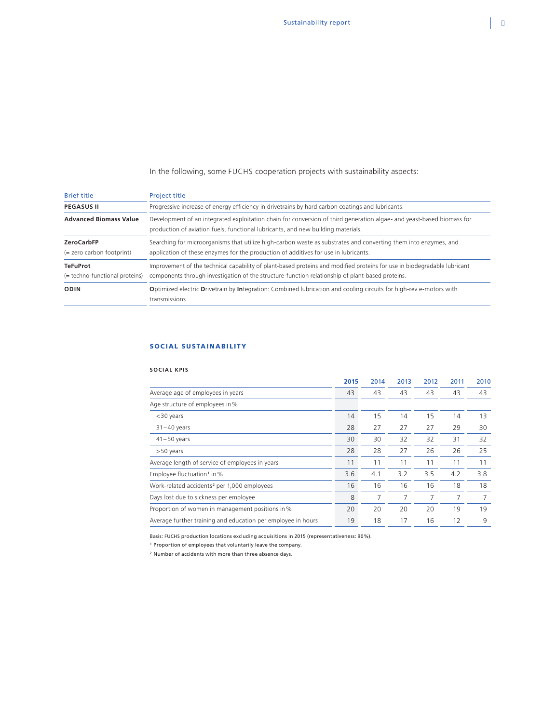In the following, some FUCHS cooperation projects with sustainability aspects:

| <b>Brief title</b>                                | <b>Project title</b>                                                                                                                                                                                                         |  |  |  |  |  |
|---------------------------------------------------|------------------------------------------------------------------------------------------------------------------------------------------------------------------------------------------------------------------------------|--|--|--|--|--|
| <b>PEGASUS II</b>                                 | Progressive increase of energy efficiency in drivetrains by hard carbon coatings and lubricants.                                                                                                                             |  |  |  |  |  |
| <b>Advanced Biomass Value</b>                     | Development of an integrated exploitation chain for conversion of third generation algae- and yeast-based biomass for<br>production of aviation fuels, functional lubricants, and new building materials.                    |  |  |  |  |  |
| <b>ZeroCarbFP</b><br>$(=$ zero carbon footprint)  | Searching for microorganisms that utilize high-carbon waste as substrates and converting them into enzymes, and<br>application of these enzymes for the production of additives for use in lubricants.                       |  |  |  |  |  |
| <b>TeFuProt</b><br>(= techno-functional proteins) | Improvement of the technical capability of plant-based proteins and modified proteins for use in biodegradable lubricant<br>components through investigation of the structure-function relationship of plant-based proteins. |  |  |  |  |  |
| <b>ODIN</b>                                       | Optimized electric Drivetrain by Integration: Combined lubrication and cooling circuits for high-rev e-motors with<br>transmissions.                                                                                         |  |  |  |  |  |

## SOCIAL SUSTAINABILITY

## **SOCIAL KPIS**

|                                                              | 2015 | 2014 | 2013 | 2012 | 2011 | 2010 |
|--------------------------------------------------------------|------|------|------|------|------|------|
| Average age of employees in years                            | 43   | 43   | 43   | 43   | 43   | 43   |
| Age structure of employees in %                              |      |      |      |      |      |      |
| $<$ 30 years                                                 | 14   | 15   | 14   | 15   | 14   | 13   |
| $31 - 40$ years                                              | 28   | 27   | 27   | 27   | 29   | 30   |
| $41 - 50$ years                                              | 30   | 30   | 32   | 32   | 31   | 32   |
| >50 years                                                    | 28   | 28   | 27   | 26   | 26   | 25   |
| Average length of service of employees in years              | 11   | 11   | 11   | 11   | 11   | 11   |
| Employee fluctuation <sup>1</sup> in %                       | 3.6  | 4.1  | 3.2  | 3.5  | 4.2  | 3.8  |
| Work-related accidents <sup>2</sup> per 1,000 employees      | 16   | 16   | 16   | 16   | 18   | 18   |
| Days lost due to sickness per employee                       | 8    | 7    | 7    | 7    | 7    | 7    |
| Proportion of women in management positions in %             | 20   | 20   | 20   | 20   | 19   | 19   |
| Average further training and education per employee in hours | 19   | 18   | 17   | 16   | 12   | 9    |

Basis: FUCHS production locations excluding acquisitions in 2015 (representativeness: 90%).

<sup>1</sup> Proportion of employees that voluntarily leave the company.

<sup>2</sup> Number of accidents with more than three absence days.